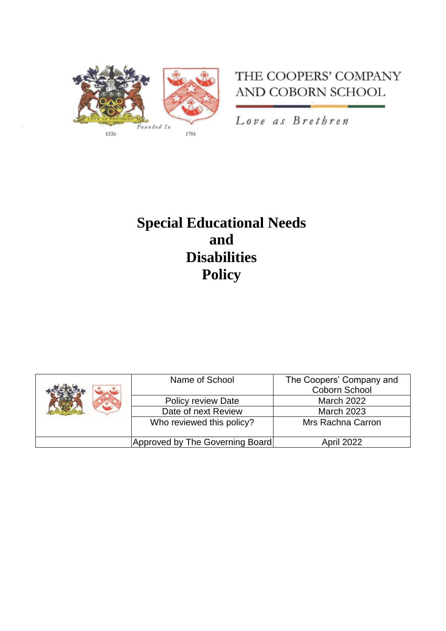

## THE COOPERS' COMPANY AND COBORN SCHOOL

Love as Brethren

# **Special Educational Needs and Disabilities Policy**

|  | Name of School                  | The Coopers' Company and |
|--|---------------------------------|--------------------------|
|  |                                 | Coborn School            |
|  | <b>Policy review Date</b>       | <b>March 2022</b>        |
|  | Date of next Review             | <b>March 2023</b>        |
|  | Who reviewed this policy?       | Mrs Rachna Carron        |
|  |                                 |                          |
|  | Approved by The Governing Board | April 2022               |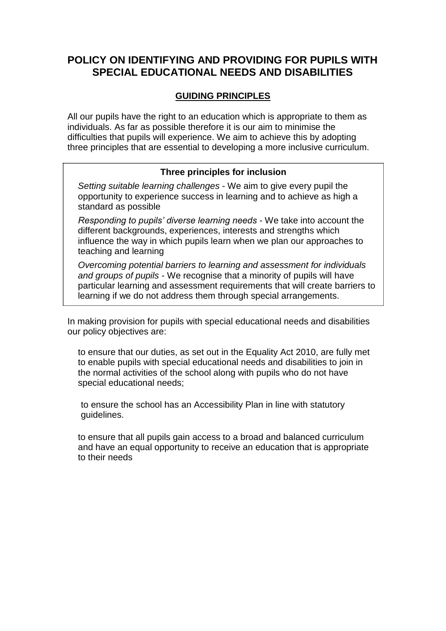## **POLICY ON IDENTIFYING AND PROVIDING FOR PUPILS WITH SPECIAL EDUCATIONAL NEEDS AND DISABILITIES**

## **GUIDING PRINCIPLES**

All our pupils have the right to an education which is appropriate to them as individuals. As far as possible therefore it is our aim to minimise the difficulties that pupils will experience. We aim to achieve this by adopting three principles that are essential to developing a more inclusive curriculum.

#### **Three principles for inclusion**

*Setting suitable learning challenges* - We aim to give every pupil the opportunity to experience success in learning and to achieve as high a standard as possible

*Responding to pupils' diverse learning needs* - We take into account the different backgrounds, experiences, interests and strengths which influence the way in which pupils learn when we plan our approaches to teaching and learning

*Overcoming potential barriers to learning and assessment for individuals and groups of pupils* - We recognise that a minority of pupils will have particular learning and assessment requirements that will create barriers to learning if we do not address them through special arrangements.

In making provision for pupils with special educational needs and disabilities our policy objectives are:

to ensure that our duties, as set out in the Equality Act 2010, are fully met to enable pupils with special educational needs and disabilities to join in the normal activities of the school along with pupils who do not have special educational needs;

to ensure the school has an Accessibility Plan in line with statutory guidelines.

to ensure that all pupils gain access to a broad and balanced curriculum and have an equal opportunity to receive an education that is appropriate to their needs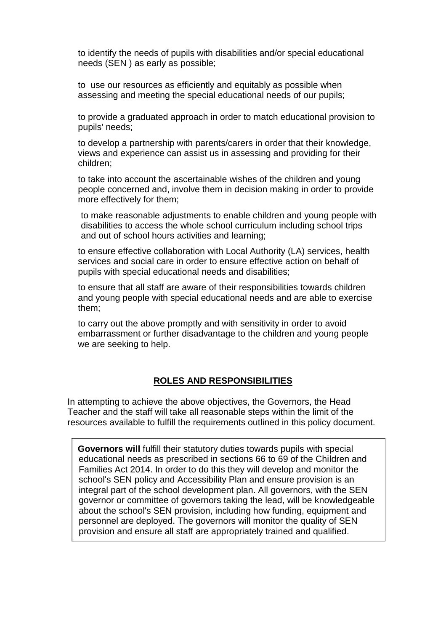to identify the needs of pupils with disabilities and/or special educational needs (SEN ) as early as possible;

to use our resources as efficiently and equitably as possible when assessing and meeting the special educational needs of our pupils;

to provide a graduated approach in order to match educational provision to pupils' needs;

to develop a partnership with parents/carers in order that their knowledge, views and experience can assist us in assessing and providing for their children;

to take into account the ascertainable wishes of the children and young people concerned and, involve them in decision making in order to provide more effectively for them;

to make reasonable adjustments to enable children and young people with disabilities to access the whole school curriculum including school trips and out of school hours activities and learning;

to ensure effective collaboration with Local Authority (LA) services, health services and social care in order to ensure effective action on behalf of pupils with special educational needs and disabilities;

to ensure that all staff are aware of their responsibilities towards children and young people with special educational needs and are able to exercise them;

to carry out the above promptly and with sensitivity in order to avoid embarrassment or further disadvantage to the children and young people we are seeking to help.

#### **ROLES AND RESPONSIBILITIES**

In attempting to achieve the above objectives, the Governors, the Head Teacher and the staff will take all reasonable steps within the limit of the resources available to fulfill the requirements outlined in this policy document.

**Governors will** fulfill their statutory duties towards pupils with special educational needs as prescribed in sections 66 to 69 of the Children and Families Act 2014. In order to do this they will develop and monitor the school's SEN policy and Accessibility Plan and ensure provision is an integral part of the school development plan. All governors, with the SEN governor or committee of governors taking the lead, will be knowledgeable about the school's SEN provision, including how funding, equipment and personnel are deployed. The governors will monitor the quality of SEN provision and ensure all staff are appropriately trained and qualified.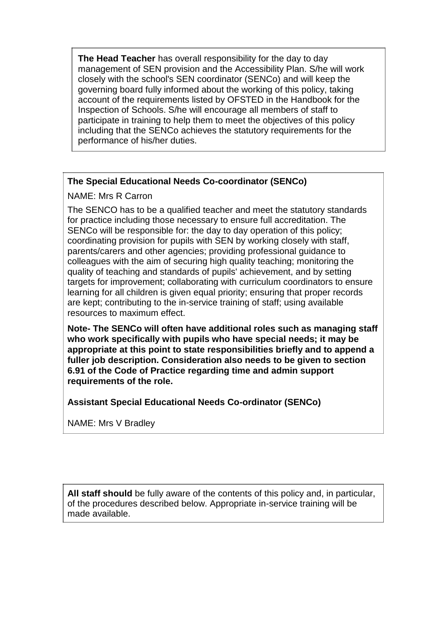**The Head Teacher** has overall responsibility for the day to day management of SEN provision and the Accessibility Plan. S/he will work closely with the school's SEN coordinator (SENCo) and will keep the governing board fully informed about the working of this policy, taking account of the requirements listed by OFSTED in the Handbook for the Inspection of Schools. S/he will encourage all members of staff to participate in training to help them to meet the objectives of this policy including that the SENCo achieves the statutory requirements for the performance of his/her duties.

## **The Special Educational Needs Co-coordinator (SENCo)**

## NAME: Mrs R Carron

The SENCO has to be a qualified teacher and meet the statutory standards for practice including those necessary to ensure full accreditation. The SENCo will be responsible for: the day to day operation of this policy; coordinating provision for pupils with SEN by working closely with staff, parents/carers and other agencies; providing professional guidance to colleagues with the aim of securing high quality teaching; monitoring the quality of teaching and standards of pupils' achievement, and by setting targets for improvement; collaborating with curriculum coordinators to ensure learning for all children is given equal priority; ensuring that proper records are kept; contributing to the in-service training of staff; using available resources to maximum effect.

**Note- The SENCo will often have additional roles such as managing staff who work specifically with pupils who have special needs; it may be appropriate at this point to state responsibilities briefly and to append a fuller job description. Consideration also needs to be given to section 6.91 of the Code of Practice regarding time and admin support requirements of the role.**

**Assistant Special Educational Needs Co-ordinator (SENCo)**

NAME: Mrs V Bradley

**All staff should** be fully aware of the contents of this policy and, in particular, of the procedures described below. Appropriate in-service training will be made available.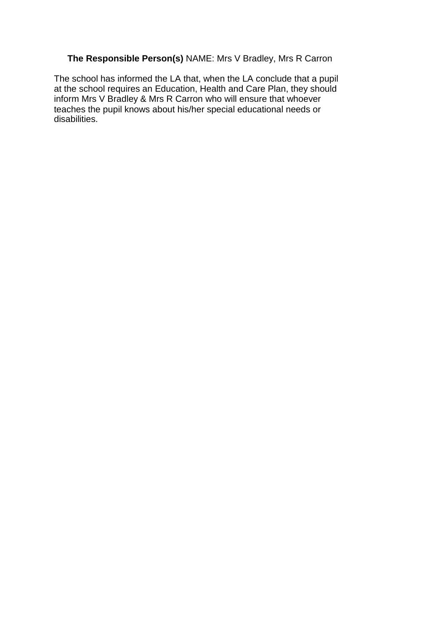## **The Responsible Person(s)** NAME: Mrs V Bradley, Mrs R Carron

The school has informed the LA that, when the LA conclude that a pupil at the school requires an Education, Health and Care Plan, they should inform Mrs V Bradley & Mrs R Carron who will ensure that whoever teaches the pupil knows about his/her special educational needs or disabilities.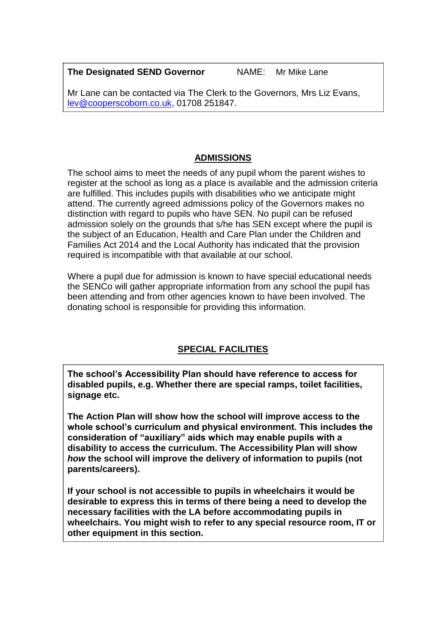**The Designated SEND Governor** NAME: Mr Mike Lane

Mr Lane can be contacted via The Clerk to the Governors, Mrs Liz Evans, [lev@cooperscoborn.co.uk, 0](mailto:lev@cooperscoborn.co.uk)1708 251847.

## **ADMISSIONS**

The school aims to meet the needs of any pupil whom the parent wishes to register at the school as long as a place is available and the admission criteria are fulfilled. This includes pupils with disabilities who we anticipate might attend. The currently agreed admissions policy of the Governors makes no distinction with regard to pupils who have SEN. No pupil can be refused admission solely on the grounds that s/he has SEN except where the pupil is the subject of an Education, Health and Care Plan under the Children and Families Act 2014 and the Local Authority has indicated that the provision required is incompatible with that available at our school.

Where a pupil due for admission is known to have special educational needs the SENCo will gather appropriate information from any school the pupil has been attending and from other agencies known to have been involved. The donating school is responsible for providing this information.

## **SPECIAL FACILITIES**

**The school's Accessibility Plan should have reference to access for disabled pupils, e.g. Whether there are special ramps, toilet facilities, signage etc.**

**The Action Plan will show how the school will improve access to the whole school's curriculum and physical environment. This includes the consideration of "auxiliary" aids which may enable pupils with a disability to access the curriculum. The Accessibility Plan will show**  *how* **the school will improve the delivery of information to pupils (not parents/careers).**

**If your school is not accessible to pupils in wheelchairs it would be desirable to express this in terms of there being a need to develop the necessary facilities with the LA before accommodating pupils in wheelchairs. You might wish to refer to any special resource room, IT or other equipment in this section.**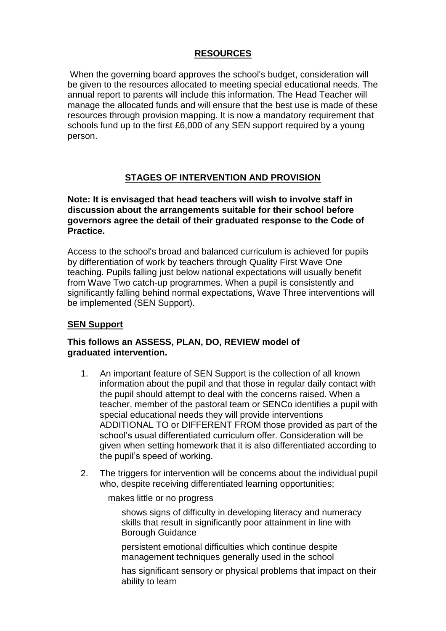## **RESOURCES**

When the governing board approves the school's budget, consideration will be given to the resources allocated to meeting special educational needs. The annual report to parents will include this information. The Head Teacher will manage the allocated funds and will ensure that the best use is made of these resources through provision mapping. It is now a mandatory requirement that schools fund up to the first £6,000 of any SEN support required by a young person.

## **STAGES OF INTERVENTION AND PROVISION**

**Note: It is envisaged that head teachers will wish to involve staff in discussion about the arrangements suitable for their school before governors agree the detail of their graduated response to the Code of Practice.**

Access to the school's broad and balanced curriculum is achieved for pupils by differentiation of work by teachers through Quality First Wave One teaching. Pupils falling just below national expectations will usually benefit from Wave Two catch-up programmes. When a pupil is consistently and significantly falling behind normal expectations, Wave Three interventions will be implemented (SEN Support).

## **SEN Support**

#### **This follows an ASSESS, PLAN, DO, REVIEW model of graduated intervention.**

- 1. An important feature of SEN Support is the collection of all known information about the pupil and that those in regular daily contact with the pupil should attempt to deal with the concerns raised. When a teacher, member of the pastoral team or SENCo identifies a pupil with special educational needs they will provide interventions ADDITIONAL TO or DIFFERENT FROM those provided as part of the school's usual differentiated curriculum offer. Consideration will be given when setting homework that it is also differentiated according to the pupil's speed of working.
- 2. The triggers for intervention will be concerns about the individual pupil who, despite receiving differentiated learning opportunities;

makes little or no progress

shows signs of difficulty in developing literacy and numeracy skills that result in significantly poor attainment in line with Borough Guidance

persistent emotional difficulties which continue despite management techniques generally used in the school

has significant sensory or physical problems that impact on their ability to learn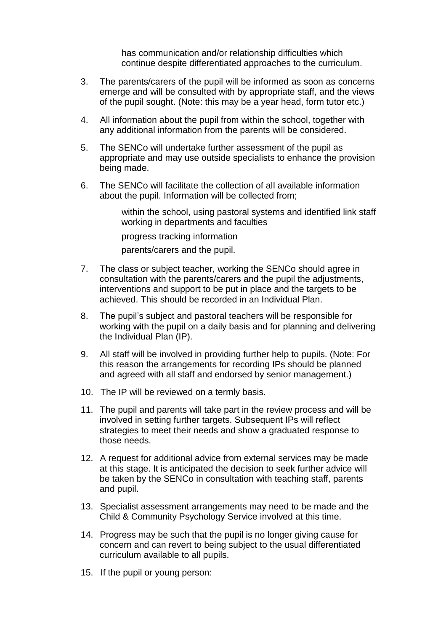has communication and/or relationship difficulties which continue despite differentiated approaches to the curriculum.

- 3. The parents/carers of the pupil will be informed as soon as concerns emerge and will be consulted with by appropriate staff, and the views of the pupil sought. (Note: this may be a year head, form tutor etc.)
- 4. All information about the pupil from within the school, together with any additional information from the parents will be considered.
- 5. The SENCo will undertake further assessment of the pupil as appropriate and may use outside specialists to enhance the provision being made.
- 6. The SENCo will facilitate the collection of all available information about the pupil. Information will be collected from;

within the school, using pastoral systems and identified link staff working in departments and faculties

progress tracking information

parents/carers and the pupil.

- 7. The class or subject teacher, working the SENCo should agree in consultation with the parents/carers and the pupil the adjustments, interventions and support to be put in place and the targets to be achieved. This should be recorded in an Individual Plan.
- 8. The pupil's subject and pastoral teachers will be responsible for working with the pupil on a daily basis and for planning and delivering the Individual Plan (IP).
- 9. All staff will be involved in providing further help to pupils. (Note: For this reason the arrangements for recording IPs should be planned and agreed with all staff and endorsed by senior management.)
- 10. The IP will be reviewed on a termly basis.
- 11. The pupil and parents will take part in the review process and will be involved in setting further targets. Subsequent IPs will reflect strategies to meet their needs and show a graduated response to those needs.
- 12. A request for additional advice from external services may be made at this stage. It is anticipated the decision to seek further advice will be taken by the SENCo in consultation with teaching staff, parents and pupil.
- 13. Specialist assessment arrangements may need to be made and the Child & Community Psychology Service involved at this time.
- 14. Progress may be such that the pupil is no longer giving cause for concern and can revert to being subject to the usual differentiated curriculum available to all pupils.
- 15. If the pupil or young person: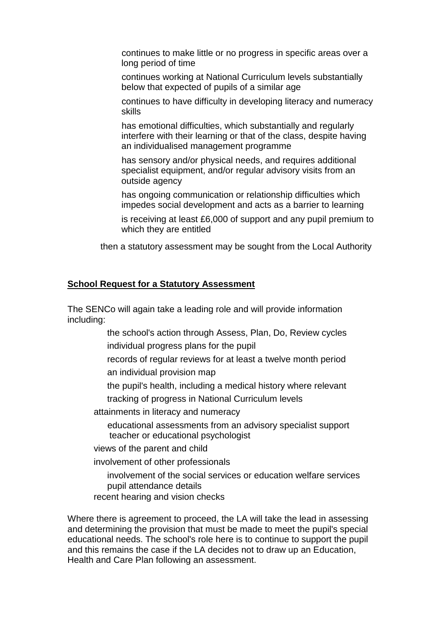continues to make little or no progress in specific areas over a long period of time

continues working at National Curriculum levels substantially below that expected of pupils of a similar age

continues to have difficulty in developing literacy and numeracy skills

has emotional difficulties, which substantially and regularly interfere with their learning or that of the class, despite having an individualised management programme

has sensory and/or physical needs, and requires additional specialist equipment, and/or regular advisory visits from an outside agency

has ongoing communication or relationship difficulties which impedes social development and acts as a barrier to learning

is receiving at least £6,000 of support and any pupil premium to which they are entitled

then a statutory assessment may be sought from the Local Authority

#### **School Request for a Statutory Assessment**

The SENCo will again take a leading role and will provide information including:

> the school's action through Assess, Plan, Do, Review cycles individual progress plans for the pupil

- records of regular reviews for at least a twelve month period an individual provision map
- the pupil's health, including a medical history where relevant tracking of progress in National Curriculum levels

attainments in literacy and numeracy

educational assessments from an advisory specialist support teacher or educational psychologist

views of the parent and child

involvement of other professionals

involvement of the social services or education welfare services pupil attendance details

recent hearing and vision checks

Where there is agreement to proceed, the LA will take the lead in assessing and determining the provision that must be made to meet the pupil's special educational needs. The school's role here is to continue to support the pupil and this remains the case if the LA decides not to draw up an Education, Health and Care Plan following an assessment.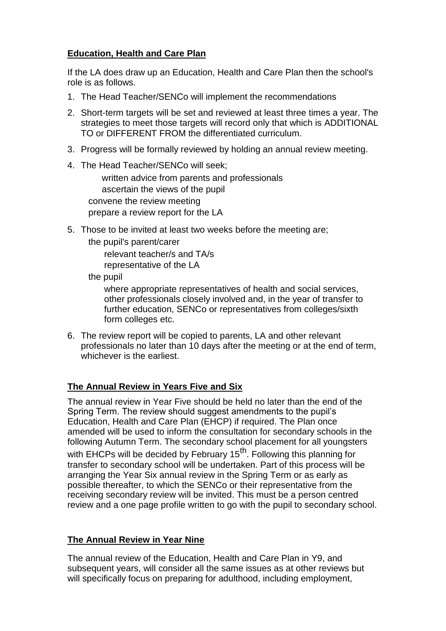## **Education, Health and Care Plan**

If the LA does draw up an Education, Health and Care Plan then the school's role is as follows.

- 1. The Head Teacher/SENCo will implement the recommendations
- 2. Short-term targets will be set and reviewed at least three times a year. The strategies to meet those targets will record only that which is ADDITIONAL TO or DIFFERENT FROM the differentiated curriculum.
- 3. Progress will be formally reviewed by holding an annual review meeting.
- 4. The Head Teacher/SENCo will seek;

written advice from parents and professionals ascertain the views of the pupil convene the review meeting prepare a review report for the LA

- 5. Those to be invited at least two weeks before the meeting are;
	- the pupil's parent/carer

relevant teacher/s and TA/s

representative of the LA

the pupil

where appropriate representatives of health and social services, other professionals closely involved and, in the year of transfer to further education, SENCo or representatives from colleges/sixth form colleges etc.

6. The review report will be copied to parents, LA and other relevant professionals no later than 10 days after the meeting or at the end of term, whichever is the earliest.

## **The Annual Review in Years Five and Six**

The annual review in Year Five should be held no later than the end of the Spring Term. The review should suggest amendments to the pupil's Education, Health and Care Plan (EHCP) if required. The Plan once amended will be used to inform the consultation for secondary schools in the following Autumn Term. The secondary school placement for all youngsters with EHCPs will be decided by February  $15<sup>th</sup>$ . Following this planning for transfer to secondary school will be undertaken. Part of this process will be arranging the Year Six annual review in the Spring Term or as early as possible thereafter, to which the SENCo or their representative from the receiving secondary review will be invited. This must be a person centred review and a one page profile written to go with the pupil to secondary school.

#### **The Annual Review in Year Nine**

The annual review of the Education, Health and Care Plan in Y9, and subsequent years, will consider all the same issues as at other reviews but will specifically focus on preparing for adulthood, including employment,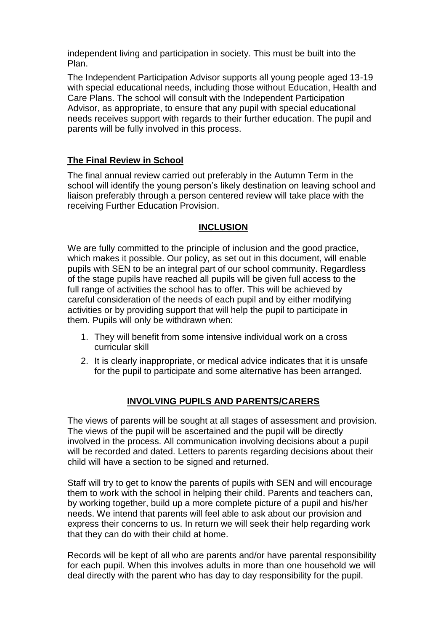independent living and participation in society. This must be built into the Plan.

The Independent Participation Advisor supports all young people aged 13-19 with special educational needs, including those without Education, Health and Care Plans. The school will consult with the Independent Participation Advisor, as appropriate, to ensure that any pupil with special educational needs receives support with regards to their further education. The pupil and parents will be fully involved in this process.

#### **The Final Review in School**

The final annual review carried out preferably in the Autumn Term in the school will identify the young person's likely destination on leaving school and liaison preferably through a person centered review will take place with the receiving Further Education Provision.

#### **INCLUSION**

We are fully committed to the principle of inclusion and the good practice, which makes it possible. Our policy, as set out in this document, will enable pupils with SEN to be an integral part of our school community. Regardless of the stage pupils have reached all pupils will be given full access to the full range of activities the school has to offer. This will be achieved by careful consideration of the needs of each pupil and by either modifying activities or by providing support that will help the pupil to participate in them. Pupils will only be withdrawn when:

- 1. They will benefit from some intensive individual work on a cross curricular skill
- 2. It is clearly inappropriate, or medical advice indicates that it is unsafe for the pupil to participate and some alternative has been arranged.

#### **INVOLVING PUPILS AND PARENTS/CARERS**

The views of parents will be sought at all stages of assessment and provision. The views of the pupil will be ascertained and the pupil will be directly involved in the process. All communication involving decisions about a pupil will be recorded and dated. Letters to parents regarding decisions about their child will have a section to be signed and returned.

Staff will try to get to know the parents of pupils with SEN and will encourage them to work with the school in helping their child. Parents and teachers can, by working together, build up a more complete picture of a pupil and his/her needs. We intend that parents will feel able to ask about our provision and express their concerns to us. In return we will seek their help regarding work that they can do with their child at home.

Records will be kept of all who are parents and/or have parental responsibility for each pupil. When this involves adults in more than one household we will deal directly with the parent who has day to day responsibility for the pupil.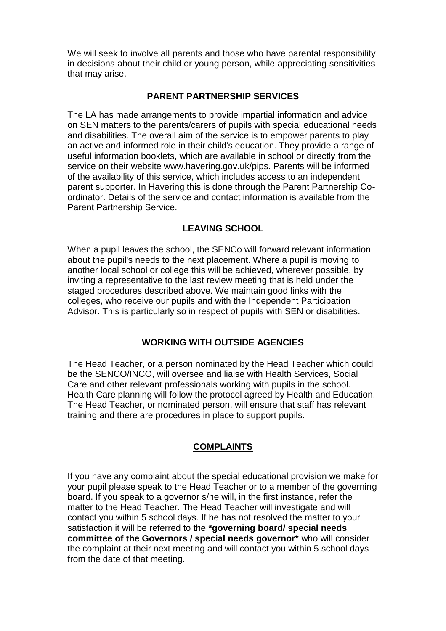We will seek to involve all parents and those who have parental responsibility in decisions about their child or young person, while appreciating sensitivities that may arise.

#### **PARENT PARTNERSHIP SERVICES**

The LA has made arrangements to provide impartial information and advice on SEN matters to the parents/carers of pupils with special educational needs and disabilities. The overall aim of the service is to empower parents to play an active and informed role in their child's education. They provide a range of useful information booklets, which are available in school or directly from the service on their website www.havering.gov.uk/pips. Parents will be informed of the availability of this service, which includes access to an independent parent supporter. In Havering this is done through the Parent Partnership Coordinator. Details of the service and contact information is available from the Parent Partnership Service.

#### **LEAVING SCHOOL**

When a pupil leaves the school, the SENCo will forward relevant information about the pupil's needs to the next placement. Where a pupil is moving to another local school or college this will be achieved, wherever possible, by inviting a representative to the last review meeting that is held under the staged procedures described above. We maintain good links with the colleges, who receive our pupils and with the Independent Participation Advisor. This is particularly so in respect of pupils with SEN or disabilities.

#### **WORKING WITH OUTSIDE AGENCIES**

The Head Teacher, or a person nominated by the Head Teacher which could be the SENCO/INCO, will oversee and liaise with Health Services, Social Care and other relevant professionals working with pupils in the school. Health Care planning will follow the protocol agreed by Health and Education. The Head Teacher, or nominated person, will ensure that staff has relevant training and there are procedures in place to support pupils.

#### **COMPLAINTS**

If you have any complaint about the special educational provision we make for your pupil please speak to the Head Teacher or to a member of the governing board. If you speak to a governor s/he will, in the first instance, refer the matter to the Head Teacher. The Head Teacher will investigate and will contact you within 5 school days. If he has not resolved the matter to your satisfaction it will be referred to the **\*governing board/ special needs committee of the Governors / special needs governor\*** who will consider the complaint at their next meeting and will contact you within 5 school days from the date of that meeting.